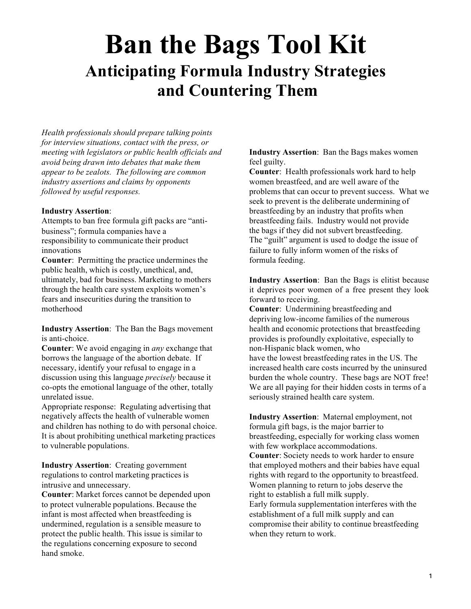# **Ban the Bags Tool Kit Anticipating Formula Industry Strategies and Countering Them**

*Health professionals should prepare talking points for interview situations, contact with the press, or meeting with legislators or public health officials and avoid being drawn into debates that make them appear to be zealots. The following are common industry assertions and claims by opponents followed by useful responses.*

#### **Industry Assertion**:

Attempts to ban free formula gift packs are "antibusiness"; formula companies have a responsibility to communicate their product innovations

**Counter**: Permitting the practice undermines the public health, which is costly, unethical, and, ultimately, bad for business. Marketing to mothers through the health care system exploits women's fears and insecurities during the transition to motherhood

**Industry Assertion**: The Ban the Bags movement is anti-choice.

**Counter**: We avoid engaging in *any* exchange that borrows the language of the abortion debate. If necessary, identify your refusal to engage in a discussion using this language *precisely* because it co-opts the emotional language of the other, totally unrelated issue.

Appropriate response: Regulating advertising that negatively affects the health of vulnerable women and children has nothing to do with personal choice. It is about prohibiting unethical marketing practices to vulnerable populations.

**Industry Assertion**: Creating government regulations to control marketing practices is intrusive and unnecessary.

**Counter**: Market forces cannot be depended upon to protect vulnerable populations. Because the infant is most affected when breastfeeding is undermined, regulation is a sensible measure to protect the public health. This issue is similar to the regulations concerning exposure to second hand smoke.

#### **Industry Assertion**: Ban the Bags makes women feel guilty.

**Counter**: Health professionals work hard to help women breastfeed, and are well aware of the problems that can occur to prevent success. What we seek to prevent is the deliberate undermining of breastfeeding by an industry that profits when breastfeeding fails. Industry would not provide the bags if they did not subvert breastfeeding. The "guilt" argument is used to dodge the issue of failure to fully inform women of the risks of formula feeding.

**Industry Assertion**: Ban the Bags is elitist because it deprives poor women of a free present they look forward to receiving.

**Counter**: Undermining breastfeeding and depriving low-income families of the numerous health and economic protections that breastfeeding provides is profoundly exploitative, especially to non-Hispanic black women, who have the lowest breastfeeding rates in the US. The increased health care costs incurred by the uninsured burden the whole country. These bags are NOT free! We are all paying for their hidden costs in terms of a seriously strained health care system.

**Industry Assertion**: Maternal employment, not formula gift bags, is the major barrier to breastfeeding, especially for working class women with few workplace accommodations. **Counter**: Society needs to work harder to ensure that employed mothers and their babies have equal rights with regard to the opportunity to breastfeed. Women planning to return to jobs deserve the right to establish a full milk supply. Early formula supplementation interferes with the establishment of a full milk supply and can compromise their ability to continue breastfeeding when they return to work.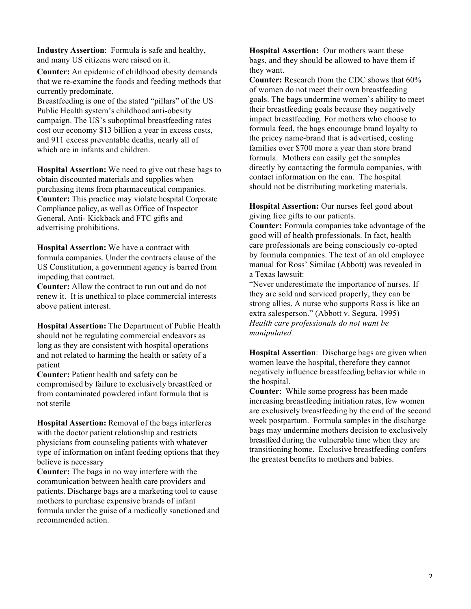**Industry Assertion**: Formula is safe and healthy, and many US citizens were raised on it.

**Counter:** An epidemic of childhood obesity demands that we re-examine the foods and feeding methods that currently predominate.

Breastfeeding is one of the stated "pillars" of the US Public Health system's childhood anti-obesity campaign. The US's suboptimal breastfeeding rates cost our economy \$13 billion a year in excess costs, and 911 excess preventable deaths, nearly all of which are in infants and children.

**Hospital Assertion:** We need to give out these bags to obtain discounted materials and supplies when purchasing items from pharmaceutical companies. **Counter:** This practice may violate hospital Corporate Compliance policy, as well as Office of Inspector General, Anti- Kickback and FTC gifts and advertising prohibitions.

**Hospital Assertion:** We have a contract with formula companies. Under the contracts clause of the US Constitution, a government agency is barred from impeding that contract.

**Counter:** Allow the contract to run out and do not renew it. It is unethical to place commercial interests above patient interest.

**Hospital Assertion:** The Department of Public Health should not be regulating commercial endeavors as long as they are consistent with hospital operations and not related to harming the health or safety of a patient

**Counter:** Patient health and safety can be compromised by failure to exclusively breastfeed or from contaminated powdered infant formula that is not sterile

**Hospital Assertion:** Removal of the bags interferes with the doctor patient relationship and restricts physicians from counseling patients with whatever type of information on infant feeding options that they believe is necessary

**Counter:** The bags in no way interfere with the communication between health care providers and patients. Discharge bags are a marketing tool to cause mothers to purchase expensive brands of infant formula under the guise of a medically sanctioned and recommended action.

**Hospital Assertion:** Our mothers want these bags, and they should be allowed to have them if they want.

**Counter:** Research from the CDC shows that 60% of women do not meet their own breastfeeding goals. The bags undermine women's ability to meet their breastfeeding goals because they negatively impact breastfeeding. For mothers who choose to formula feed, the bags encourage brand loyalty to the pricey name-brand that is advertised, costing families over \$700 more a year than store brand formula. Mothers can easily get the samples directly by contacting the formula companies, with contact information on the can. The hospital should not be distributing marketing materials.

**Hospital Assertion:** Our nurses feel good about giving free gifts to our patients.

**Counter:** Formula companies take advantage of the good will of health professionals. In fact, health care professionals are being consciously co-opted by formula companies. The text of an old employee manual for Ross' Similac (Abbott) was revealed in a Texas lawsuit:

"Never underestimate the importance of nurses. If they are sold and serviced properly, they can be strong allies. A nurse who supports Ross is like an extra salesperson." (Abbott v. Segura, 1995) *Health care professionals do not want be manipulated.*

**Hospital Assertion**: Discharge bags are given when women leave the hospital, therefore they cannot negatively influence breastfeeding behavior while in the hospital.

**Counter**: While some progress has been made increasing breastfeeding initiation rates, few women are exclusively breastfeeding by the end of the second week postpartum. Formula samples in the discharge bags may undermine mothers decision to exclusively breastfeed during the vulnerable time when they are transitioning home. Exclusive breastfeeding confers the greatest benefits to mothers and babies.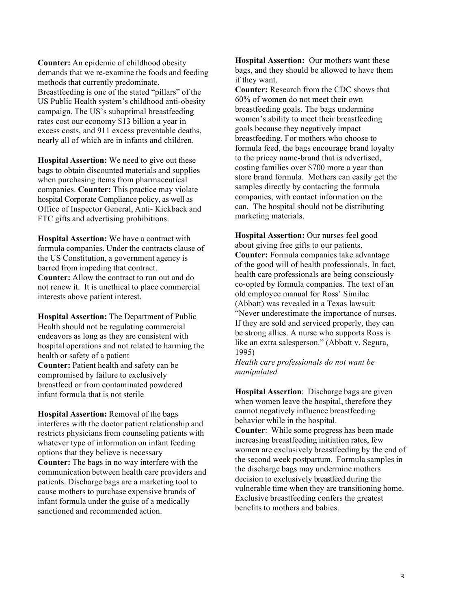**Counter:** An epidemic of childhood obesity demands that we re-examine the foods and feeding methods that currently predominate. Breastfeeding is one of the stated "pillars" of the US Public Health system's childhood anti-obesity campaign. The US's suboptimal breastfeeding rates cost our economy \$13 billion a year in excess costs, and 911 excess preventable deaths, nearly all of which are in infants and children.

**Hospital Assertion:** We need to give out these bags to obtain discounted materials and supplies when purchasing items from pharmaceutical companies. **Counter:** This practice may violate hospital Corporate Compliance policy, as well as Office of Inspector General, Anti- Kickback and FTC gifts and advertising prohibitions.

**Hospital Assertion:** We have a contract with formula companies. Under the contracts clause of the US Constitution, a government agency is barred from impeding that contract. **Counter:** Allow the contract to run out and do not renew it. It is unethical to place commercial interests above patient interest.

**Hospital Assertion:** The Department of Public Health should not be regulating commercial endeavors as long as they are consistent with hospital operations and not related to harming the health or safety of a patient **Counter:** Patient health and safety can be compromised by failure to exclusively breastfeed or from contaminated powdered infant formula that is not sterile

**Hospital Assertion:** Removal of the bags interferes with the doctor patient relationship and restricts physicians from counseling patients with whatever type of information on infant feeding options that they believe is necessary **Counter:** The bags in no way interfere with the communication between health care providers and patients. Discharge bags are a marketing tool to cause mothers to purchase expensive brands of infant formula under the guise of a medically sanctioned and recommended action.

**Hospital Assertion:** Our mothers want these bags, and they should be allowed to have them if they want.

**Counter:** Research from the CDC shows that 60% of women do not meet their own breastfeeding goals. The bags undermine women's ability to meet their breastfeeding goals because they negatively impact breastfeeding. For mothers who choose to formula feed, the bags encourage brand loyalty to the pricey name-brand that is advertised, costing families over \$700 more a year than store brand formula. Mothers can easily get the samples directly by contacting the formula companies, with contact information on the can. The hospital should not be distributing marketing materials.

**Hospital Assertion:** Our nurses feel good about giving free gifts to our patients. **Counter:** Formula companies take advantage of the good will of health professionals. In fact, health care professionals are being consciously co-opted by formula companies. The text of an old employee manual for Ross' Similac (Abbott) was revealed in a Texas lawsuit: "Never underestimate the importance of nurses. If they are sold and serviced properly, they can be strong allies. A nurse who supports Ross is like an extra salesperson." (Abbott v. Segura, 1995)

*Health care professionals do not want be manipulated.*

**Hospital Assertion**: Discharge bags are given when women leave the hospital, therefore they cannot negatively influence breastfeeding behavior while in the hospital.

**Counter**: While some progress has been made increasing breastfeeding initiation rates, few women are exclusively breastfeeding by the end of the second week postpartum. Formula samples in the discharge bags may undermine mothers decision to exclusively breastfeed during the vulnerable time when they are transitioning home. Exclusive breastfeeding confers the greatest benefits to mothers and babies.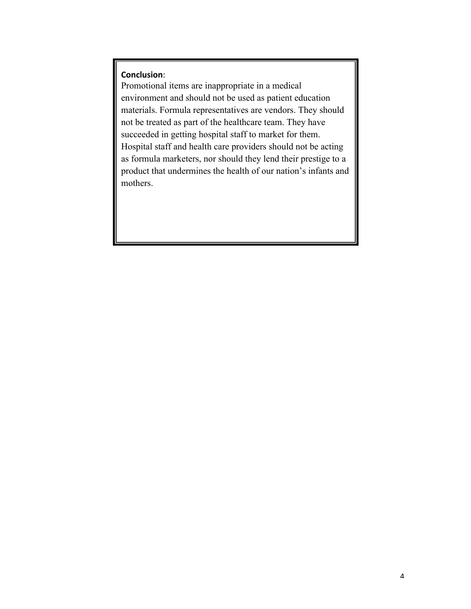#### **Conclusion**:

Promotional items are inappropriate in a medical environment and should not be used as patient education materials. Formula representatives are vendors. They should not be treated as part of the healthcare team. They have succeeded in getting hospital staff to market for them. Hospital staff and health care providers should not be acting as formula marketers, nor should they lend their prestige to a product that undermines the health of our nation's infants and mothers.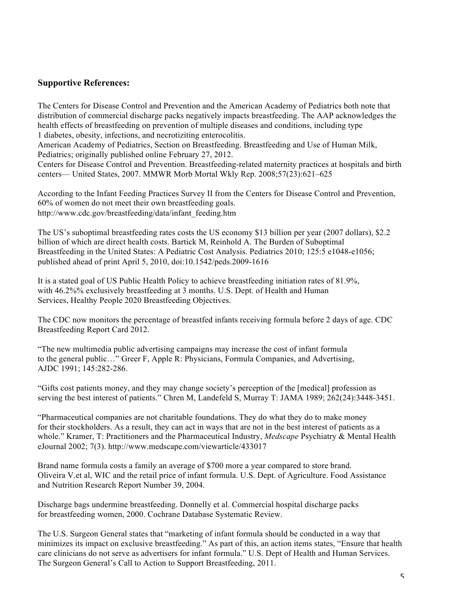#### **Supportive References:**

The Centers for Disease Control and Prevention and the American Academy of Pediatrics both note that distribution of commercial discharge packs negatively impacts breastfeeding. The AAP acknowledges the health effects of breastfeeding on prevention of multiple diseases and conditions, including type 1 diabetes, obesity, infections, and necrotiziting enterocolitis.

American Academy of Pediatrics, Section on Breastfeeding. Breastfeeding and Use of Human Milk, Pediatrics; originally published online February 27, 2012.

Centers for Disease Control and Prevention. Breastfeeding-related maternity practices at hospitals and birth centers— United States, 2007. MMWR Morb Mortal Wkly Rep. 2008;57(23):621–625

According to the Infant Feeding Practices Survey II from the Centers for Disease Control and Prevention, 60% of women do not meet their own breastfeeding goals. http://www.cdc.gov/breastfeeding/data/infant\_feeding.htm

The US's suboptimal breastfeeding rates costs the US economy \$13 billion per year (2007 dollars), \$2.2 billion of which are direct health costs. Bartick M, Reinhold A. The Burden of Suboptimal Breastfeeding in the United States: A Pediatric Cost Analysis. Pediatrics 2010; 125:5 e1048-e1056; published ahead of print April 5, 2010, doi:10.1542/peds.2009-1616

It is a stated goal of US Public Health Policy to achieve breastfeeding initiation rates of 81.9%, with 46.2%% exclusively breastfeeding at 3 months. U.S. Dept. of Health and Human Services, Healthy People 2020 Breastfeeding Objectives.

The CDC now monitors the percentage of breastfed infants receiving formula before 2 days of age. CDC Breastfeeding Report Card 2012.

"The new multimedia public advertising campaigns may increase the cost of infant formula to the general public…" Greer F, Apple R: Physicians, Formula Companies, and Advertising, AJDC 1991; 145:282-286.

"Gifts cost patients money, and they may change society's perception of the [medical] profession as serving the best interest of patients." Chren M, Landefeld S, Murray T: JAMA 1989; 262(24):3448-3451.

"Pharmaceutical companies are not charitable foundations. They do what they do to make money for their stockholders. As a result, they can act in ways that are not in the best interest of patients as a whole." Kramer, T: Practitioners and the Pharmaceutical Industry, *Medscape* Psychiatry & Mental Health eJournal 2002; 7(3). http://www.medscape.com/viewarticle/433017

Brand name formula costs a family an average of \$700 more a year compared to store brand. Oliveira V.et al, WIC and the retail price of infant formula. U.S. Dept. of Agriculture. Food Assistance and Nutrition Research Report Number 39, 2004.

Discharge bags undermine breastfeeding. Donnelly et al. Commercial hospital discharge packs for breastfeeding women, 2000. Cochrane Database Systematic Review.

The U.S. Surgeon General states that "marketing of infant formula should be conducted in a way that minimizes its impact on exclusive breastfeeding." As part of this, an action items states, "Ensure that health care clinicians do not serve as advertisers for infant formula." U.S. Dept of Health and Human Services. The Surgeon General's Call to Action to Support Breastfeeding, 2011.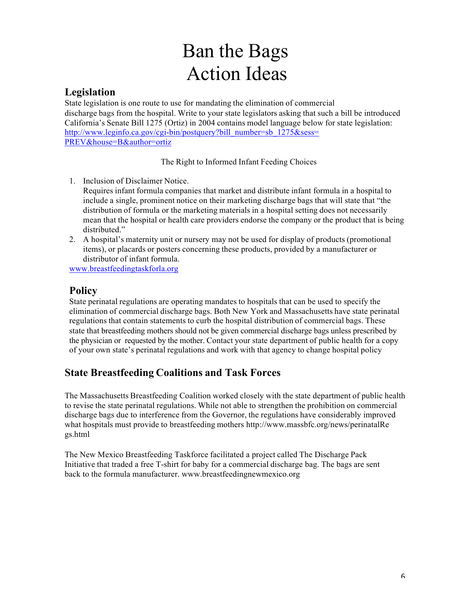# Ban the Bags Action Ideas

## **Legislation**

State legislation is one route to use for mandating the elimination of commercial discharge bags from the hospital. Write to your state legislators asking that such a bill be introduced California's Senate Bill 1275 (Ortiz) in 2004 contains model language below for state legislation: http://www.leginfo.ca.gov/cgi-bin/postquery?bill\_number=sb\_1275&sess= PREV&house=B&author=ortiz

The Right to Informed Infant Feeding Choices

- 1. Inclusion of Disclaimer Notice.
	- Requires infant formula companies that market and distribute infant formula in a hospital to include a single, prominent notice on their marketing discharge bags that will state that "the distribution of formula or the marketing materials in a hospital setting does not necessarily mean that the hospital or health care providers endorse the company or the product that is being distributed."
- 2. A hospital's maternity unit or nursery may not be used for display of products (promotional items), or placards or posters concerning these products, provided by a manufacturer or distributor of infant formula.

www.breastfeedingtaskforla.org

# **Policy**

State perinatal regulations are operating mandates to hospitals that can be used to specify the elimination of commercial discharge bags. Both New York and Massachusetts have state perinatal regulations that contain statements to curb the hospital distribution of commercial bags. These state that breastfeeding mothers should not be given commercial discharge bags unless prescribed by the physician or requested by the mother. Contact your state department of public health for a copy of your own state's perinatal regulations and work with that agency to change hospital policy

# **State Breastfeeding Coalitions and Task Forces**

The Massachusetts Breastfeeding Coalition worked closely with the state department of public health to revise the state perinatal regulations. While not able to strengthen the prohibition on commercial discharge bags due to interference from the Governor, the regulations have considerably improved what hospitals must provide to breastfeeding mothers http://www.massbfc.org/news/perinatalRe gs.html

The New Mexico Breastfeeding Taskforce facilitated a project called The Discharge Pack Initiative that traded a free T-shirt for baby for a commercial discharge bag. The bags are sent back to the formula manufacturer. www.breastfeedingnewmexico.org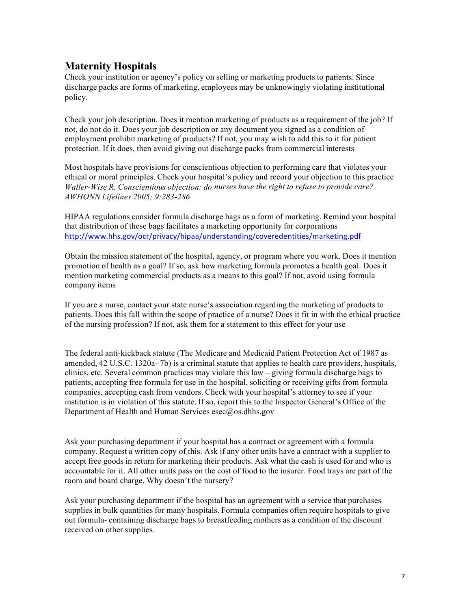# **Maternity Hospitals**

Check your institution or agency's policy on selling or marketing products to patients. Since discharge packs are forms of marketing, employees may be unknowingly violating institutional policy.

Check your job description. Does it mention marketing of products as a requirement of the job? If not, do not do it. Does your job description or any document you signed as a condition of employment prohibit marketing of products? If not, you may wish to add this to it for patient protection. If it does, then avoid giving out discharge packs from commercial interests

Most hospitals have provisions for conscientious objection to performing care that violates your ethical or moral principles. Check your hospital's policy and record your objection to this practice *Waller-Wise R. Conscientious objection: do nurses have the right to refuse to provide care? AWHONN Lifelines 2005; 9:283-286*

HIPAA regulations consider formula discharge bags as a form of marketing. Remind your hospital that distribution of these bags facilitates a marketing opportunity for corporations http://www.hhs.gov/ocr/privacy/hipaa/understanding/coveredentities/marketing.pdf

Obtain the mission statement of the hospital, agency, or program where you work. Does it mention promotion of health as a goal? If so, ask how marketing formula promotes a health goal. Does it mention marketing commercial products as a means to this goal? If not, avoid using formula company items

If you are a nurse, contact your state nurse's association regarding the marketing of products to patients. Does this fall within the scope of practice of a nurse? Does it fit in with the ethical practice of the nursing profession? If not, ask them for a statement to this effect for your use

The federal anti-kickback statute (The Medicare and Medicaid Patient Protection Act of 1987 as amended, 42 U.S.C. 1320a- 7b) is a criminal statute that applies to health care providers, hospitals, clinics, etc. Several common practices may violate this law – giving formula discharge bags to patients, accepting free formula for use in the hospital, soliciting or receiving gifts from formula companies, accepting cash from vendors. Check with your hospital's attorney to see if your institution is in violation of this statute. If so, report this to the Inspector General's Office of the Department of Health and Human Services esec@os.dhhs.gov

Ask your purchasing department if your hospital has a contract or agreement with a formula company. Request a written copy of this. Ask if any other units have a contract with a supplier to accept free goods in return for marketing their products. Ask what the cash is used for and who is accountable for it. All other units pass on the cost of food to the insurer. Food trays are part of the room and board charge. Why doesn't the nursery?

Ask your purchasing department if the hospital has an agreement with a service that purchases supplies in bulk quantities for many hospitals. Formula companies often require hospitals to give out formula- containing discharge bags to breastfeeding mothers as a condition of the discount received on other supplies.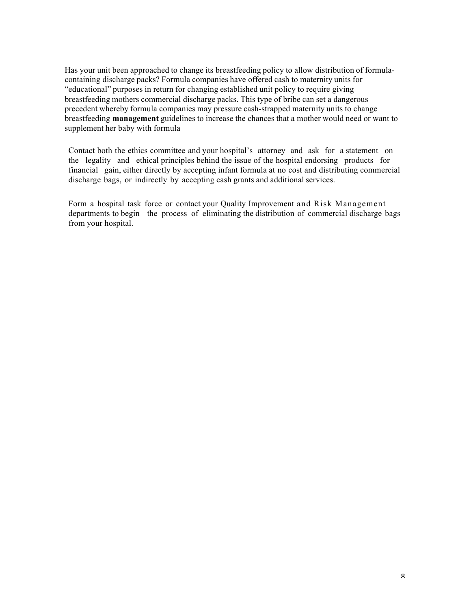Has your unit been approached to change its breastfeeding policy to allow distribution of formulacontaining discharge packs? Formula companies have offered cash to maternity units for "educational" purposes in return for changing established unit policy to require giving breastfeeding mothers commercial discharge packs. This type of bribe can set a dangerous precedent whereby formula companies may pressure cash-strapped maternity units to change breastfeeding **management** guidelines to increase the chances that a mother would need or want to supplement her baby with formula

Contact both the ethics committee and your hospital's attorney and ask for a statement on the legality and ethical principles behind the issue of the hospital endorsing products for financial gain, either directly by accepting infant formula at no cost and distributing commercial discharge bags, or indirectly by accepting cash grants and additional services.

Form a hospital task force or contact your Quality Improvement and Risk Management departments to begin the process of eliminating the distribution of commercial discharge bags from your hospital.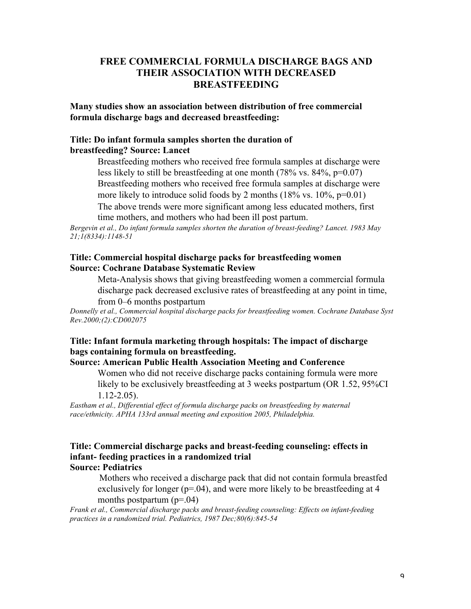### **FREE COMMERCIAL FORMULA DISCHARGE BAGS AND THEIR ASSOCIATION WITH DECREASED BREASTFEEDING**

**Many studies show an association between distribution of free commercial formula discharge bags and decreased breastfeeding:**

#### **Title: Do infant formula samples shorten the duration of breastfeeding? Source: Lancet**

 Breastfeeding mothers who received free formula samples at discharge were less likely to still be breastfeeding at one month  $(78\% \text{ vs. } 84\%, \text{ p=0.07})$  Breastfeeding mothers who received free formula samples at discharge were more likely to introduce solid foods by 2 months  $(18\% \text{ vs. } 10\%, \text{ p=0.01})$ 

 The above trends were more significant among less educated mothers, first time mothers, and mothers who had been ill post partum.

*Bergevin et al., Do infant formula samples shorten the duration of breast-feeding? Lancet. 1983 May 21;1(8334):1148-51*

#### **Title: Commercial hospital discharge packs for breastfeeding women Source: Cochrane Database Systematic Review**

 Meta-Analysis shows that giving breastfeeding women a commercial formula discharge pack decreased exclusive rates of breastfeeding at any point in time, from 0–6 months postpartum

*Donnelly et al., Commercial hospital discharge packs for breastfeeding women. Cochrane Database Syst Rev.2000;(2):CD002075*

## **Title: Infant formula marketing through hospitals: The impact of discharge bags containing formula on breastfeeding.**

**Source: American Public Health Association Meeting and Conference**

 Women who did not receive discharge packs containing formula were more likely to be exclusively breastfeeding at 3 weeks postpartum (OR 1.52, 95%CI 1.12-2.05).

*Eastham et al., Differential effect of formula discharge packs on breastfeeding by maternal race/ethnicity. APHA 133rd annual meeting and exposition 2005, Philadelphia.*

#### **Title: Commercial discharge packs and breast-feeding counseling: effects in infant- feeding practices in a randomized trial Source: Pediatrics**

Mothers who received a discharge pack that did not contain formula breastfed exclusively for longer ( $p=0.04$ ), and were more likely to be breastfeeding at 4 months postpartum  $(p=0.04)$ 

*Frank et al., Commercial discharge packs and breast-feeding counseling: Effects on infant-feeding practices in a randomized trial. Pediatrics, 1987 Dec;80(6):845-54*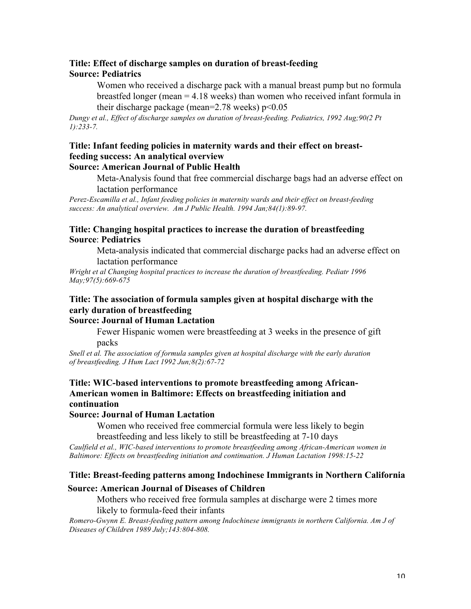#### **Title: Effect of discharge samples on duration of breast-feeding Source: Pediatrics**

 Women who received a discharge pack with a manual breast pump but no formula breastfed longer (mean = 4.18 weeks) than women who received infant formula in their discharge package (mean= $2.78$  weeks)  $p<0.05$ 

*Dungy et al., Effect of discharge samples on duration of breast-feeding. Pediatrics, 1992 Aug;90(2 Pt 1):233-7.*

#### **Title: Infant feeding policies in maternity wards and their effect on breastfeeding success: An analytical overview Source: American Journal of Public Health**

 Meta-Analysis found that free commercial discharge bags had an adverse effect on lactation performance

*Perez-Escamilla et al., Infant feeding policies in maternity wards and their effect on breast-feeding success: An analytical overview. Am J Public Health. 1994 Jan;84(1):89-97.*

#### **Title: Changing hospital practices to increase the duration of breastfeeding Source**: **Pediatrics**

 Meta-analysis indicated that commercial discharge packs had an adverse effect on lactation performance

*Wright et al Changing hospital practices to increase the duration of breastfeeding. Pediatr 1996 May;97(5):669-675*

# **Title: The association of formula samples given at hospital discharge with the early duration of breastfeeding**

#### **Source: Journal of Human Lactation**

 Fewer Hispanic women were breastfeeding at 3 weeks in the presence of gift packs

*Snell et al. The association of formula samples given at hospital discharge with the early duration of breastfeeding. J Hum Lact 1992 Jun;8(2):67-72*

#### **Title: WIC-based interventions to promote breastfeeding among African-American women in Baltimore: Effects on breastfeeding initiation and continuation**

#### **Source: Journal of Human Lactation**

 Women who received free commercial formula were less likely to begin breastfeeding and less likely to still be breastfeeding at 7-10 days

*Caulfield et al., WIC-based interventions to promote breastfeeding among African-American women in Baltimore: Effects on breastfeeding initiation and continuation. J Human Lactation 1998:15-22*

### **Title: Breast-feeding patterns among Indochinese Immigrants in Northern California**

#### **Source: American Journal of Diseases of Children**

 Mothers who received free formula samples at discharge were 2 times more likely to formula-feed their infants

*Romero-Gwynn E. Breast-feeding pattern among Indochinese immigrants in northern California. Am J of Diseases of Children 1989 July;143:804-808.*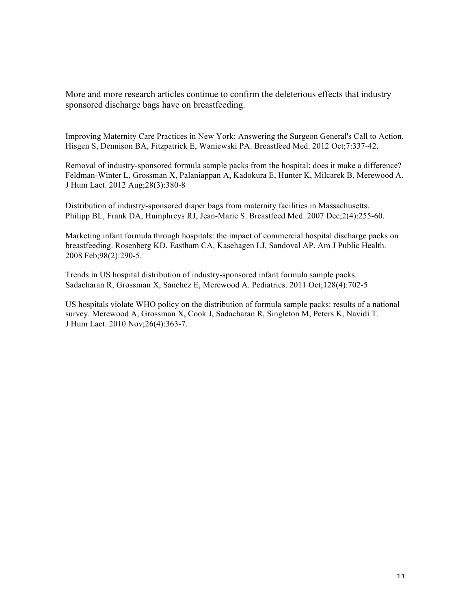More and more research articles continue to confirm the deleterious effects that industry sponsored discharge bags have on breastfeeding.

Improving Maternity Care Practices in New York: Answering the Surgeon General's Call to Action. Hisgen S, Dennison BA, Fitzpatrick E, Waniewski PA. Breastfeed Med. 2012 Oct;7:337-42.

Removal of industry-sponsored formula sample packs from the hospital: does it make a difference? Feldman-Winter L, Grossman X, Palaniappan A, Kadokura E, Hunter K, Milcarek B, Merewood A. J Hum Lact. 2012 Aug;28(3):380-8

Distribution of industry-sponsored diaper bags from maternity facilities in Massachusetts. Philipp BL, Frank DA, Humphreys RJ, Jean-Marie S. Breastfeed Med. 2007 Dec;2(4):255-60.

Marketing infant formula through hospitals: the impact of commercial hospital discharge packs on breastfeeding. Rosenberg KD, Eastham CA, Kasehagen LJ, Sandoval AP. Am J Public Health. 2008 Feb;98(2):290-5.

Trends in US hospital distribution of industry-sponsored infant formula sample packs. Sadacharan R, Grossman X, Sanchez E, Merewood A. Pediatrics. 2011 Oct;128(4):702-5

US hospitals violate WHO policy on the distribution of formula sample packs: results of a national survey. Merewood A, Grossman X, Cook J, Sadacharan R, Singleton M, Peters K, Navidi T. J Hum Lact. 2010 Nov;26(4):363-7.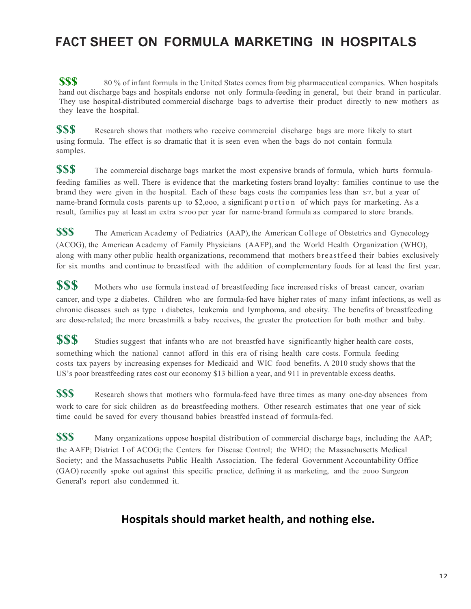# **FACT SHEET ON FORMULA MARKETING IN HOSPITALS**

**\$\$\$** 80 % of infant formula in the United States comes from big pharmaceutical companies. When hospitals hand out discharge bags and hospitals endorse not only formula-feeding in general, but their brand in particular. They use hospital-distributed commercial discharge bags to advertise their product directly to new mothers as they leave the hospital.

**\$\$\$** Research shows that mothers who receive commercial discharge bags are more likely to start using formula. The effect is so dramatic that it is seen even when the bags do not contain formula samples.

**\$\$\$** The commercial discharge bags market the most expensive brands of formula, which hurts formulafeeding families as well. There is evidence that the marketing fosters brand loyalty: families continue to use the brand they were given in the hospital. Each of these bags costs the companies less than \$7, but a year of name-brand formula costs parents up to \$2,ooo, a significant portion of which pays for marketing. As a result, families pay at least an extra \$700 per year for name-brand formula as compared to store brands.

**\$\$\$** The American Academy of Pediatrics (AAP), the American College of Obstetrics and Gynecology (ACOG), the American Academy of Family Physicians (AAFP), and the World Health Organization (WHO), along with many other public health organizations, recommend that mothers breastfeed their babies exclusively for six months and continue to breastfeed with the addition of complementary foods for at least the first year.

**\$\$\$** Mothers who use formula instead of breastfeeding face increased risks of breast cancer, ovarian cancer, and type 2 diabetes. Children who are formula-fed have higher rates of many infant infections, as well as chronic diseases such as type 1 diabetes, leukemia and lymphoma, and obesity. The benefits of breastfeeding are dose-related; the more breastmilk a baby receives, the greater the protection for both mother and baby.

**\$\$\$** Studies suggest that infants who are not breastfed have significantly higher health care costs, something which the national cannot afford in this era of rising health care costs. Formula feeding costs tax payers by increasing expenses for Medicaid and WIC food benefits. A 2010 study shows that the US's poor breastfeeding rates cost our economy \$13 billion a year, and 911 in preventable excess deaths.

**\$\$\$** Research shows that mothers who formula-feed have three times as many one-day absences from work to care for sick children as do breastfeeding mothers. Other research estimates that one year of sick time could be saved for every thousand babies breastfed instead of formula-fed.

**\$\$\$** Many organizations oppose hospital distribution of commercial discharge bags, including the AAP; the AAFP; District I of ACOG; the Centers for Disease Control; the WHO; the Massachusetts Medical Society; and the Massachusetts Public Health Association. The federal Government Accountability Office (GAO) recently spoke out against this specific practice, defining it as marketing, and the 2000 Surgeon General's report also condemned it.

# Hospitals should market health, and nothing else.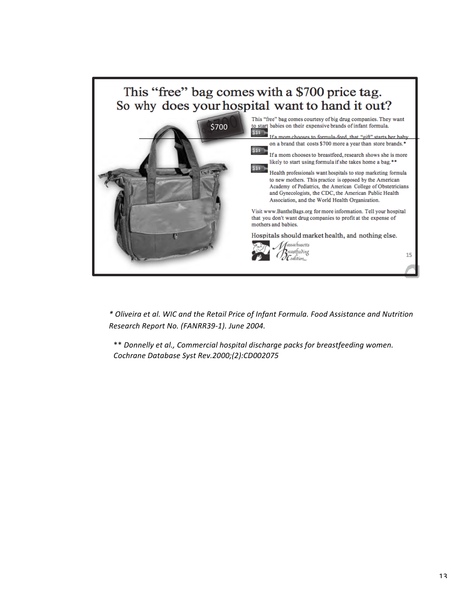

*\* Oliveira et al. WIC and the Retail Price of Infant Formula. Food Assistance and Nutrition*  Research Report No. (FANRR39-1). June 2004.

\*\* *Donnelly et al., Commercial hospital discharge packs for breastfeeding women. Cochrane Database Syst Rev.2000;(2):CD002075*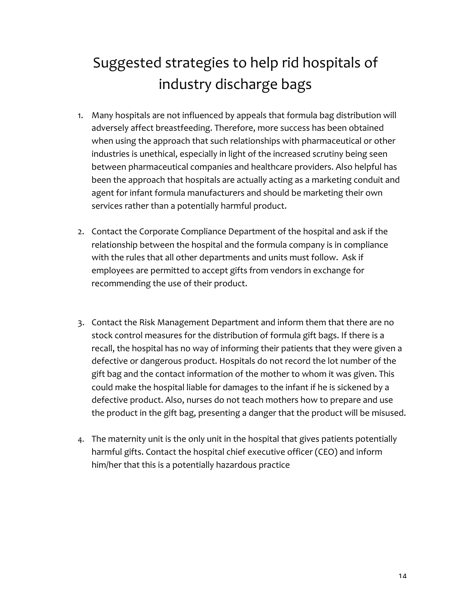# Suggested strategies to help rid hospitals of industry discharge bags

- 1. Many hospitals are not influenced by appeals that formula bag distribution will adversely affect breastfeeding. Therefore, more success has been obtained when using the approach that such relationships with pharmaceutical or other industries is unethical, especially in light of the increased scrutiny being seen between pharmaceutical companies and healthcare providers. Also helpful has been the approach that hospitals are actually acting as a marketing conduit and agent for infant formula manufacturers and should be marketing their own services rather than a potentially harmful product.
- 2. Contact the Corporate Compliance Department of the hospital and ask if the relationship between the hospital and the formula company is in compliance with the rules that all other departments and units must follow. Ask if employees are permitted to accept gifts from vendors in exchange for recommending the use of their product.
- 3. Contact the Risk Management Department and inform them that there are no stock control measures for the distribution of formula gift bags. If there is a recall, the hospital has no way of informing their patients that they were given a defective or dangerous product. Hospitals do not record the lot number of the gift bag and the contact information of the mother to whom it was given. This could make the hospital liable for damages to the infant if he is sickened by a defective product. Also, nurses do not teach mothers how to prepare and use the product in the gift bag, presenting a danger that the product will be misused.
- 4. The maternity unit is the only unit in the hospital that gives patients potentially harmful gifts. Contact the hospital chief executive officer (CEO) and inform him/her that this is a potentially hazardous practice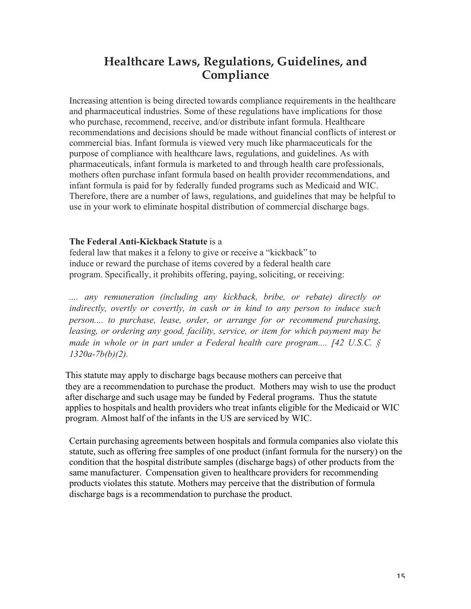# **Healthcare Laws, Regulations, Guidelines, and Compliance**

Increasing attention is being directed towards compliance requirements in the healthcare and pharmaceutical industries. Some of these regulations have implications for those who purchase, recommend, receive, and/or distribute infant formula. Healthcare recommendations and decisions should be made without financial conflicts of interest or commercial bias. Infant formula is viewed very much like pharmaceuticals for the purpose of compliance with healthcare laws, regulations, and guidelines. As with pharmaceuticals, infant formula is marketed to and through health care professionals, mothers often purchase infant formula based on health provider recommendations, and infant formula is paid for by federally funded programs such as Medicaid and WIC. Therefore, there are a number of laws, regulations, and guidelines that may be helpful to use in your work to eliminate hospital distribution of commercial discharge bags.

#### **The Federal Anti-Kickback Statute** is a

federal law that makes it a felony to give or receive a "kickback" to induce or reward the purchase of items covered by a federal health care program. Specifically, it prohibits offering, paying, soliciting, or receiving:

*.... any remuneration (including any kickback, bribe, or rebate) directly or indirectly, overtly or covertly, in cash or in kind to any person to induce such person.... to purchase, lease, order, or arrange for or recommend purchasing, leasing, or ordering any good, facility, service, or item for which payment may be made in whole or in part under a Federal health care program.... [42 U.S.C. § 1320a-7b(b)(2).*

This statute may apply to discharge bags because mothers can perceive that they are a recommendation to purchase the product. Mothers may wish to use the product after discharge and such usage may be funded by Federal programs. Thus the statute applies to hospitals and health providers who treat infants eligible for the Medicaid or WIC program. Almost half of the infants in the US are serviced by WIC.

Certain purchasing agreements between hospitals and formula companies also violate this statute, such as offering free samples of one product (infant formula for the nursery) on the condition that the hospital distribute samples (discharge bags) of other products from the same manufacturer. Compensation given to healthcare providers for recommending products violates this statute. Mothers may perceive that the distribution of formula discharge bags is a recommendation to purchase the product.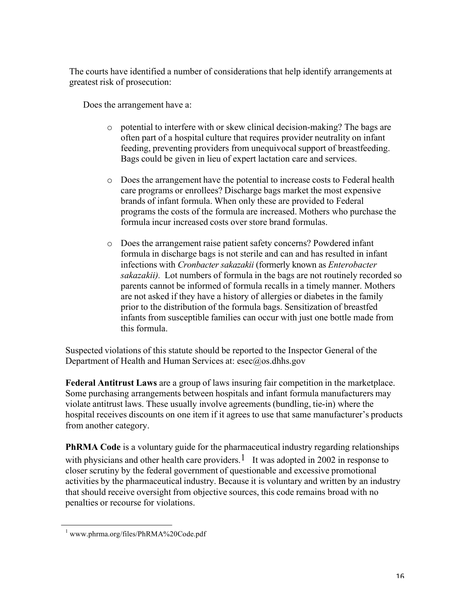The courts have identified a number of considerations that help identify arrangements at greatest risk of prosecution:

Does the arrangement have a:

- o potential to interfere with or skew clinical decision-making? The bags are often part of a hospital culture that requires provider neutrality on infant feeding, preventing providers from unequivocal support of breastfeeding. Bags could be given in lieu of expert lactation care and services.
- o Does the arrangement have the potential to increase costs to Federal health care programs or enrollees? Discharge bags market the most expensive brands of infant formula. When only these are provided to Federal programs the costs of the formula are increased. Mothers who purchase the formula incur increased costs over store brand formulas.
- o Does the arrangement raise patient safety concerns? Powdered infant formula in discharge bags is not sterile and can and has resulted in infant infections with *Cronbacter sakazakii* (formerly known as *Enterobacter sakazakii).* Lot numbers of formula in the bags are not routinely recorded so parents cannot be informed of formula recalls in a timely manner. Mothers are not asked if they have a history of allergies or diabetes in the family prior to the distribution of the formula bags. Sensitization of breastfed infants from susceptible families can occur with just one bottle made from this formula.

Suspected violations of this statute should be reported to the Inspector General of the Department of Health and Human Services at: esec@os.dhhs.gov

**Federal Antitrust Laws** are a group of laws insuring fair competition in the marketplace. Some purchasing arrangements between hospitals and infant formula manufacturers may violate antitrust laws. These usually involve agreements (bundling, tie-in) where the hospital receives discounts on one item if it agrees to use that same manufacturer's products from another category.

**PhRMA Code** is a voluntary guide for the pharmaceutical industry regarding relationships with physicians and other health care providers.<sup>1</sup> It was adopted in 2002 in response to closer scrutiny by the federal government of questionable and excessive promotional activities by the pharmaceutical industry. Because it is voluntary and written by an industry that should receive oversight from objective sources, this code remains broad with no penalties or recourse for violations.

<sup>&</sup>lt;sup>1</sup> www.phrma.org/files/PhRMA%20Code.pdf